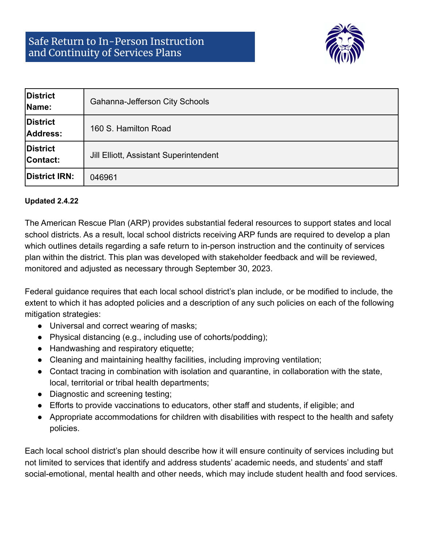

| <b>District</b><br>Name:    | Gahanna-Jefferson City Schools                |
|-----------------------------|-----------------------------------------------|
| <b>District</b><br>Address: | 160 S. Hamilton Road                          |
| <b>District</b><br>Contact: | <b>Jill Elliott, Assistant Superintendent</b> |
| District IRN:               | 046961                                        |

## **Updated 2.4.22**

The American Rescue Plan (ARP) provides substantial federal resources to support states and local school districts. As a result, local school districts receiving ARP funds are required to develop a plan which outlines details regarding a safe return to in-person instruction and the continuity of services plan within the district. This plan was developed with stakeholder feedback and will be reviewed, monitored and adjusted as necessary through September 30, 2023.

Federal guidance requires that each local school district's plan include, or be modified to include, the extent to which it has adopted policies and a description of any such policies on each of the following mitigation strategies:

- Universal and correct wearing of masks;
- Physical distancing (e.g., including use of cohorts/podding);
- Handwashing and respiratory etiquette;
- Cleaning and maintaining healthy facilities, including improving ventilation;
- Contact tracing in combination with isolation and quarantine, in collaboration with the state, local, territorial or tribal health departments;
- Diagnostic and screening testing;
- Efforts to provide vaccinations to educators, other staff and students, if eligible; and
- Appropriate accommodations for children with disabilities with respect to the health and safety policies.

Each local school district's plan should describe how it will ensure continuity of services including but not limited to services that identify and address students' academic needs, and students' and staff social-emotional, mental health and other needs, which may include student health and food services.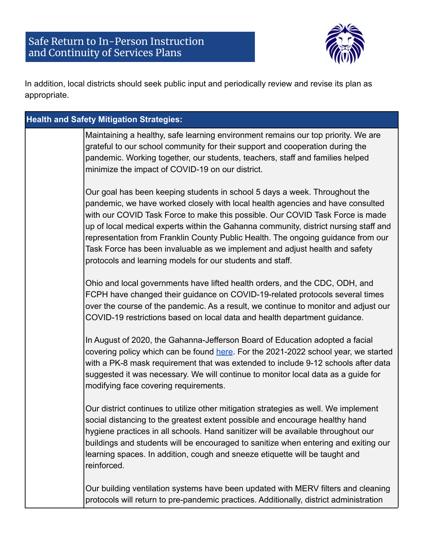## Safe Return to In-Person Instruction and Continuity of Services Plans



In addition, local districts should seek public input and periodically review and revise its plan as appropriate.

| <b>Health and Safety Mitigation Strategies:</b> |                                                                                                                                                                                                                                                                                                                                                                                                                                                                                                                                                                       |
|-------------------------------------------------|-----------------------------------------------------------------------------------------------------------------------------------------------------------------------------------------------------------------------------------------------------------------------------------------------------------------------------------------------------------------------------------------------------------------------------------------------------------------------------------------------------------------------------------------------------------------------|
|                                                 | Maintaining a healthy, safe learning environment remains our top priority. We are<br>grateful to our school community for their support and cooperation during the<br>pandemic. Working together, our students, teachers, staff and families helped<br>minimize the impact of COVID-19 on our district.                                                                                                                                                                                                                                                               |
|                                                 | Our goal has been keeping students in school 5 days a week. Throughout the<br>pandemic, we have worked closely with local health agencies and have consulted<br>with our COVID Task Force to make this possible. Our COVID Task Force is made<br>up of local medical experts within the Gahanna community, district nursing staff and<br>representation from Franklin County Public Health. The ongoing guidance from our<br>Task Force has been invaluable as we implement and adjust health and safety<br>protocols and learning models for our students and staff. |
|                                                 | Ohio and local governments have lifted health orders, and the CDC, ODH, and<br>FCPH have changed their guidance on COVID-19-related protocols several times<br>over the course of the pandemic. As a result, we continue to monitor and adjust our<br>COVID-19 restrictions based on local data and health department guidance.                                                                                                                                                                                                                                       |
|                                                 | In August of 2020, the Gahanna-Jefferson Board of Education adopted a facial<br>covering policy which can be found here. For the 2021-2022 school year, we started<br>with a PK-8 mask requirement that was extended to include 9-12 schools after data<br>suggested it was necessary. We will continue to monitor local data as a guide for<br>modifying face covering requirements.                                                                                                                                                                                 |
|                                                 | Our district continues to utilize other mitigation strategies as well. We implement<br>social distancing to the greatest extent possible and encourage healthy hand<br>hygiene practices in all schools. Hand sanitizer will be available throughout our<br>buildings and students will be encouraged to sanitize when entering and exiting our<br>learning spaces. In addition, cough and sneeze etiquette will be taught and<br>reinforced.                                                                                                                         |
|                                                 | Our building ventilation systems have been updated with MERV filters and cleaning<br>protocols will return to pre-pandemic practices. Additionally, district administration                                                                                                                                                                                                                                                                                                                                                                                           |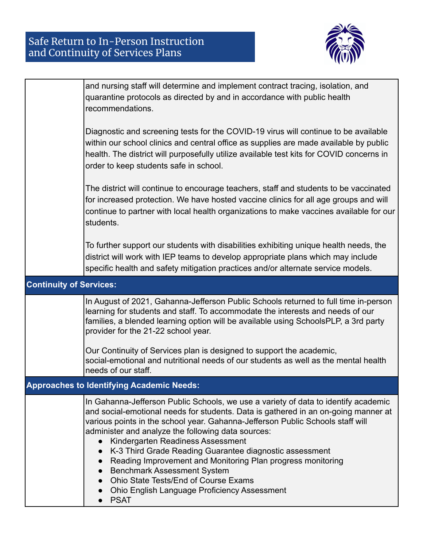

|                                | and nursing staff will determine and implement contract tracing, isolation, and<br>quarantine protocols as directed by and in accordance with public health<br>recommendations.                                                                                                                                                                                                                                               |  |
|--------------------------------|-------------------------------------------------------------------------------------------------------------------------------------------------------------------------------------------------------------------------------------------------------------------------------------------------------------------------------------------------------------------------------------------------------------------------------|--|
|                                | Diagnostic and screening tests for the COVID-19 virus will continue to be available<br>within our school clinics and central office as supplies are made available by public<br>health. The district will purposefully utilize available test kits for COVID concerns in<br>order to keep students safe in school.                                                                                                            |  |
|                                | The district will continue to encourage teachers, staff and students to be vaccinated<br>for increased protection. We have hosted vaccine clinics for all age groups and will<br>continue to partner with local health organizations to make vaccines available for our<br>students.                                                                                                                                          |  |
|                                | To further support our students with disabilities exhibiting unique health needs, the<br>district will work with IEP teams to develop appropriate plans which may include<br>specific health and safety mitigation practices and/or alternate service models.                                                                                                                                                                 |  |
| <b>Continuity of Services:</b> |                                                                                                                                                                                                                                                                                                                                                                                                                               |  |
|                                | In August of 2021, Gahanna-Jefferson Public Schools returned to full time in-person<br>learning for students and staff. To accommodate the interests and needs of our<br>families, a blended learning option will be available using SchoolsPLP, a 3rd party<br>provider for the 21-22 school year.                                                                                                                           |  |
|                                | Our Continuity of Services plan is designed to support the academic,<br>social-emotional and nutritional needs of our students as well as the mental health<br>needs of our staff.                                                                                                                                                                                                                                            |  |
|                                | <b>Approaches to Identifying Academic Needs:</b>                                                                                                                                                                                                                                                                                                                                                                              |  |
|                                | In Gahanna-Jefferson Public Schools, we use a variety of data to identify academic<br>and social-emotional needs for students. Data is gathered in an on-going manner at<br>various points in the school year. Gahanna-Jefferson Public Schools staff will<br>administer and analyze the following data sources:<br>Kindergarten Readiness Assessment<br>$\bullet$<br>K-3 Third Grade Reading Guarantee diagnostic assessment |  |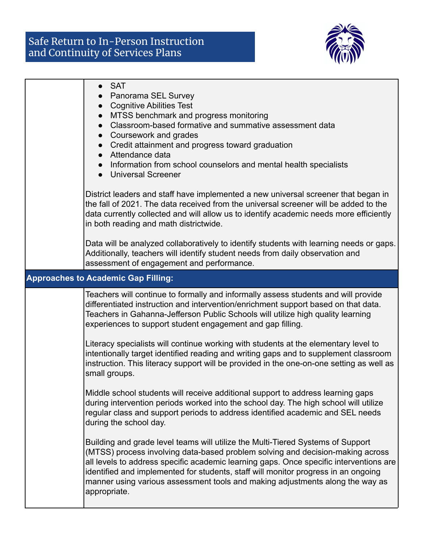## Safe Return to In-Person Instruction and Continuity of Services Plans



| <b>SAT</b><br>Panorama SEL Survey<br><b>Cognitive Abilities Test</b><br>• MTSS benchmark and progress monitoring<br>Classroom-based formative and summative assessment data<br>Coursework and grades<br>Credit attainment and progress toward graduation<br>• Attendance data<br>Information from school counselors and mental health specialists<br><b>Universal Screener</b>                                                                     |
|----------------------------------------------------------------------------------------------------------------------------------------------------------------------------------------------------------------------------------------------------------------------------------------------------------------------------------------------------------------------------------------------------------------------------------------------------|
| District leaders and staff have implemented a new universal screener that began in<br>the fall of 2021. The data received from the universal screener will be added to the<br>data currently collected and will allow us to identify academic needs more efficiently<br>in both reading and math districtwide.                                                                                                                                     |
| Data will be analyzed collaboratively to identify students with learning needs or gaps.<br>Additionally, teachers will identify student needs from daily observation and<br>assessment of engagement and performance.                                                                                                                                                                                                                              |
| <b>Approaches to Academic Gap Filling:</b>                                                                                                                                                                                                                                                                                                                                                                                                         |
| Teachers will continue to formally and informally assess students and will provide<br>differentiated instruction and intervention/enrichment support based on that data.<br>Teachers in Gahanna-Jefferson Public Schools will utilize high quality learning<br>experiences to support student engagement and gap filling.                                                                                                                          |
| Literacy specialists will continue working with students at the elementary level to<br>intentionally target identified reading and writing gaps and to supplement classroom<br>instruction. This literacy support will be provided in the one-on-one setting as well as<br>small groups.                                                                                                                                                           |
| Middle school students will receive additional support to address learning gaps<br>during intervention periods worked into the school day. The high school will utilize<br>regular class and support periods to address identified academic and SEL needs<br>during the school day.                                                                                                                                                                |
| Building and grade level teams will utilize the Multi-Tiered Systems of Support<br>(MTSS) process involving data-based problem solving and decision-making across<br>all levels to address specific academic learning gaps. Once specific interventions are<br>identified and implemented for students, staff will monitor progress in an ongoing<br>manner using various assessment tools and making adjustments along the way as<br>appropriate. |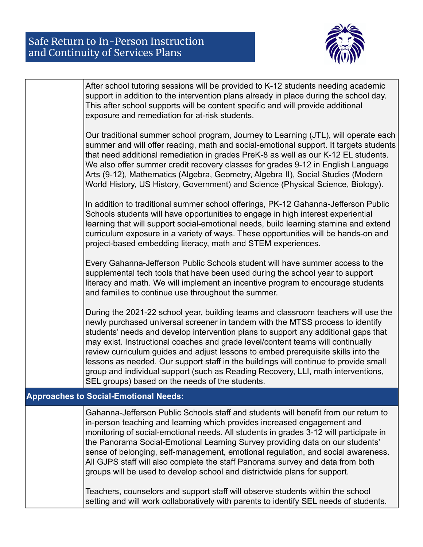

|                                              | After school tutoring sessions will be provided to K-12 students needing academic<br>support in addition to the intervention plans already in place during the school day.<br>This after school supports will be content specific and will provide additional<br>exposure and remediation for at-risk students.                                                                                                                                                                                                                                                                                                                                                                                                                                                        |  |
|----------------------------------------------|------------------------------------------------------------------------------------------------------------------------------------------------------------------------------------------------------------------------------------------------------------------------------------------------------------------------------------------------------------------------------------------------------------------------------------------------------------------------------------------------------------------------------------------------------------------------------------------------------------------------------------------------------------------------------------------------------------------------------------------------------------------------|--|
|                                              | Our traditional summer school program, Journey to Learning (JTL), will operate each<br>summer and will offer reading, math and social-emotional support. It targets students<br>that need additional remediation in grades PreK-8 as well as our K-12 EL students.<br>We also offer summer credit recovery classes for grades 9-12 in English Language<br>Arts (9-12), Mathematics (Algebra, Geometry, Algebra II), Social Studies (Modern<br>World History, US History, Government) and Science (Physical Science, Biology).                                                                                                                                                                                                                                          |  |
|                                              | In addition to traditional summer school offerings, PK-12 Gahanna-Jefferson Public<br>Schools students will have opportunities to engage in high interest experiential<br>learning that will support social-emotional needs, build learning stamina and extend<br>curriculum exposure in a variety of ways. These opportunities will be hands-on and<br>project-based embedding literacy, math and STEM experiences.                                                                                                                                                                                                                                                                                                                                                   |  |
|                                              | Every Gahanna-Jefferson Public Schools student will have summer access to the<br>supplemental tech tools that have been used during the school year to support<br>literacy and math. We will implement an incentive program to encourage students<br>and families to continue use throughout the summer.                                                                                                                                                                                                                                                                                                                                                                                                                                                               |  |
|                                              | During the 2021-22 school year, building teams and classroom teachers will use the<br>newly purchased universal screener in tandem with the MTSS process to identify<br>students' needs and develop intervention plans to support any additional gaps that<br>may exist. Instructional coaches and grade level/content teams will continually<br>review curriculum guides and adjust lessons to embed prerequisite skills into the<br>lessons as needed. Our support staff in the buildings will continue to provide small<br>group and individual support (such as Reading Recovery, LLI, math interventions,<br>SEL groups) based on the needs of the students.                                                                                                      |  |
| <b>Approaches to Social-Emotional Needs:</b> |                                                                                                                                                                                                                                                                                                                                                                                                                                                                                                                                                                                                                                                                                                                                                                        |  |
|                                              | Gahanna-Jefferson Public Schools staff and students will benefit from our return to<br>in-person teaching and learning which provides increased engagement and<br>monitoring of social-emotional needs. All students in grades 3-12 will participate in<br>the Panorama Social-Emotional Learning Survey providing data on our students'<br>sense of belonging, self-management, emotional regulation, and social awareness.<br>All GJPS staff will also complete the staff Panorama survey and data from both<br>groups will be used to develop school and districtwide plans for support.<br>Teachers, counselors and support staff will observe students within the school<br>setting and will work collaboratively with parents to identify SEL needs of students. |  |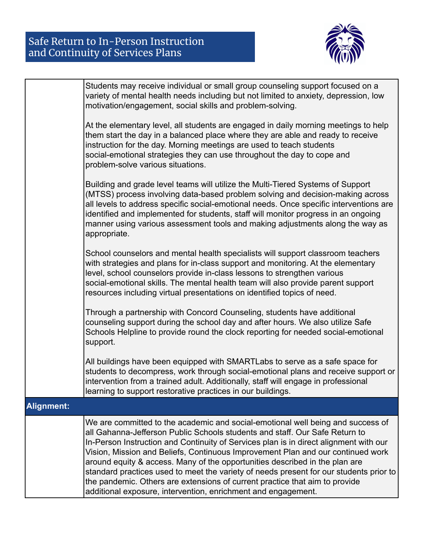## Safe Return to In-Person Instruction and Continuity of Services Plans



|                   | Students may receive individual or small group counseling support focused on a<br>variety of mental health needs including but not limited to anxiety, depression, low<br>motivation/engagement, social skills and problem-solving.                                                                                                                                                                                                                                                                                                                                                                                                                                 |
|-------------------|---------------------------------------------------------------------------------------------------------------------------------------------------------------------------------------------------------------------------------------------------------------------------------------------------------------------------------------------------------------------------------------------------------------------------------------------------------------------------------------------------------------------------------------------------------------------------------------------------------------------------------------------------------------------|
|                   | At the elementary level, all students are engaged in daily morning meetings to help<br>them start the day in a balanced place where they are able and ready to receive<br>instruction for the day. Morning meetings are used to teach students<br>social-emotional strategies they can use throughout the day to cope and<br>problem-solve various situations.                                                                                                                                                                                                                                                                                                      |
|                   | Building and grade level teams will utilize the Multi-Tiered Systems of Support<br>(MTSS) process involving data-based problem solving and decision-making across<br>all levels to address specific social-emotional needs. Once specific interventions are<br>identified and implemented for students, staff will monitor progress in an ongoing<br>manner using various assessment tools and making adjustments along the way as<br>appropriate.                                                                                                                                                                                                                  |
|                   | School counselors and mental health specialists will support classroom teachers<br>with strategies and plans for in-class support and monitoring. At the elementary<br>level, school counselors provide in-class lessons to strengthen various<br>social-emotional skills. The mental health team will also provide parent support<br>resources including virtual presentations on identified topics of need.                                                                                                                                                                                                                                                       |
|                   | Through a partnership with Concord Counseling, students have additional<br>counseling support during the school day and after hours. We also utilize Safe<br>Schools Helpline to provide round the clock reporting for needed social-emotional<br>support.                                                                                                                                                                                                                                                                                                                                                                                                          |
|                   | All buildings have been equipped with SMARTLabs to serve as a safe space for<br>students to decompress, work through social-emotional plans and receive support or<br>intervention from a trained adult. Additionally, staff will engage in professional<br>learning to support restorative practices in our buildings.                                                                                                                                                                                                                                                                                                                                             |
| <b>Alignment:</b> |                                                                                                                                                                                                                                                                                                                                                                                                                                                                                                                                                                                                                                                                     |
|                   | We are committed to the academic and social-emotional well being and success of<br>all Gahanna-Jefferson Public Schools students and staff. Our Safe Return to<br>In-Person Instruction and Continuity of Services plan is in direct alignment with our<br>Vision, Mission and Beliefs, Continuous Improvement Plan and our continued work<br>around equity & access. Many of the opportunities described in the plan are<br>standard practices used to meet the variety of needs present for our students prior to<br>the pandemic. Others are extensions of current practice that aim to provide<br>additional exposure, intervention, enrichment and engagement. |